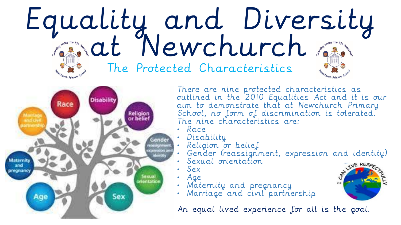## Equality and Diversity at Newchurch The Protected Characteristics



There are nine protected characteristics as outlined in the 2010 Equalities Act and it is our aim to demonstrate that at Newchurch Primary School, no form of discrimination is tolerated. The nine characteristics are:

- Race
- Disability
- Religion or belief
	- Gender (reassignment, expression and identity)
- Sexual orientation
- Sex
- Age
- Maternity and pregnancy
- Marriage and civil partnership

An equal lived experience for all is the goal.